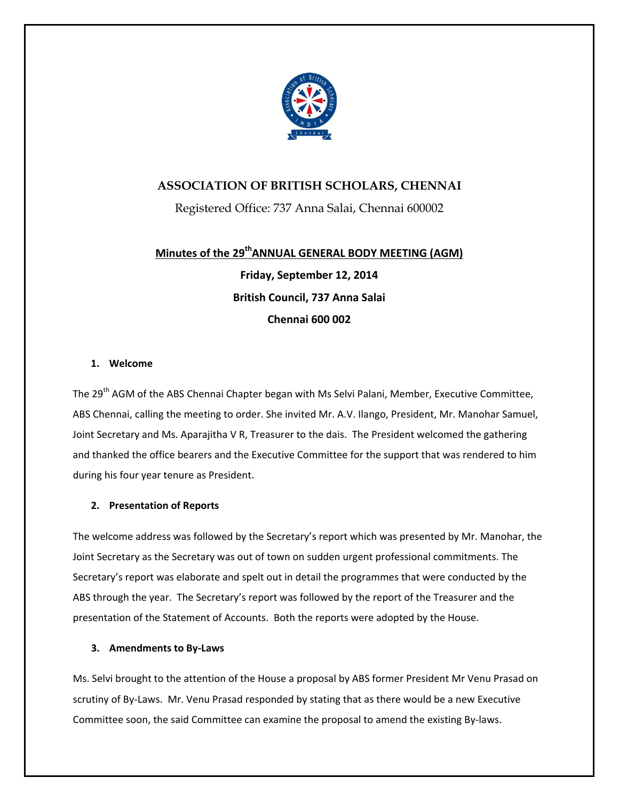

## **ASSOCIATION OF BRITISH SCHOLARS, CHENNAI**

Registered Office: 737 Anna Salai, Chennai 600002

# **Minutes of the 29thANNUAL GENERAL BODY MEETING (AGM)**

**Friday, September 12, 2014 British Council, 737 Anna Salai Chennai 600 002**

## **1. Welcome**

The 29<sup>th</sup> AGM of the ABS Chennai Chapter began with Ms Selvi Palani, Member, Executive Committee, ABS Chennai, calling the meeting to order. She invited Mr. A.V. Ilango, President, Mr. Manohar Samuel, Joint Secretary and Ms. Aparajitha V R, Treasurer to the dais. The President welcomed the gathering and thanked the office bearers and the Executive Committee for the support that was rendered to him during his four year tenure as President.

## **2. Presentation of Reports**

The welcome address was followed by the Secretary's report which was presented by Mr. Manohar, the Joint Secretary as the Secretary was out of town on sudden urgent professional commitments. The Secretary's report was elaborate and spelt out in detail the programmes that were conducted by the ABS through the year. The Secretary's report was followed by the report of the Treasurer and the presentation of the Statement of Accounts. Both the reports were adopted by the House.

## **3. Amendments to By‐Laws**

Ms. Selvi brought to the attention of the House a proposal by ABS former President Mr Venu Prasad on scrutiny of By-Laws. Mr. Venu Prasad responded by stating that as there would be a new Executive Committee soon, the said Committee can examine the proposal to amend the existing By‐laws.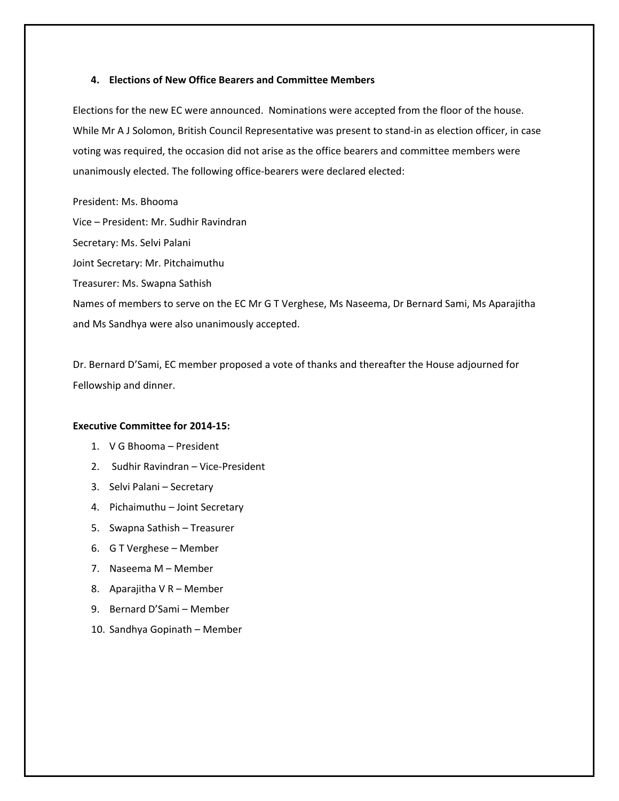#### **4. Elections of New Office Bearers and Committee Members**

Elections for the new EC were announced. Nominations were accepted from the floor of the house. While Mr A J Solomon, British Council Representative was present to stand-in as election officer, in case voting was required, the occasion did not arise as the office bearers and committee members were unanimously elected. The following office‐bearers were declared elected:

President: Ms. Bhooma Vice – President: Mr. Sudhir Ravindran Secretary: Ms. Selvi Palani Joint Secretary: Mr. Pitchaimuthu Treasurer: Ms. Swapna Sathish Names of members to serve on the EC Mr G T Verghese, Ms Naseema, Dr Bernard Sami, Ms Aparajitha and Ms Sandhya were also unanimously accepted.

Dr. Bernard D'Sami, EC member proposed a vote of thanks and thereafter the House adjourned for Fellowship and dinner.

### **Executive Committee for 2014‐15:**

- 1. V G Bhooma President
- 2. Sudhir Ravindran Vice‐President
- 3. Selvi Palani Secretary
- 4. Pichaimuthu Joint Secretary
- 5. Swapna Sathish Treasurer
- 6. G T Verghese Member
- 7. Naseema M Member
- 8. Aparajitha V R Member
- 9. Bernard D'Sami Member
- 10. Sandhya Gopinath Member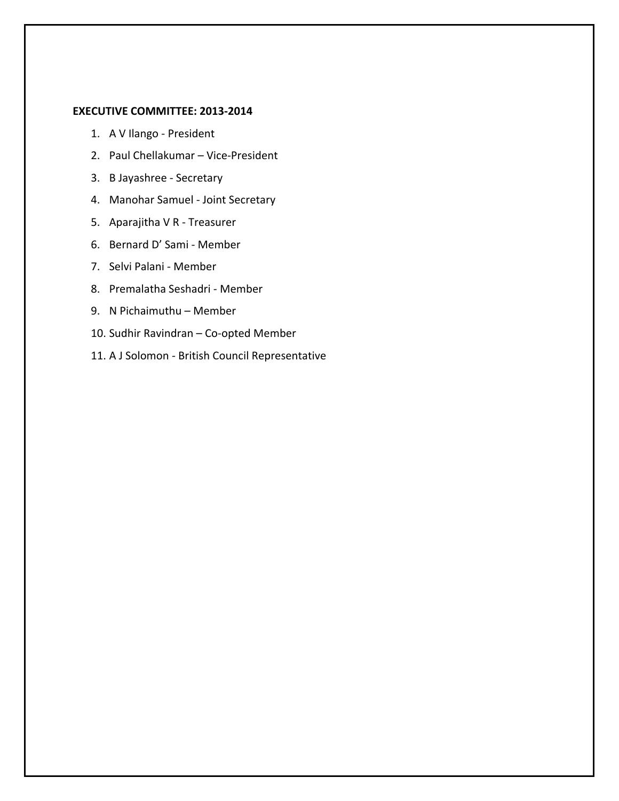### **EXECUTIVE COMMITTEE: 2013‐2014**

- 1. A V Ilango ‐ President
- 2. Paul Chellakumar Vice‐President
- 3. B Jayashree ‐ Secretary
- 4. Manohar Samuel ‐ Joint Secretary
- 5. Aparajitha V R ‐ Treasurer
- 6. Bernard D' Sami ‐ Member
- 7. Selvi Palani ‐ Member
- 8. Premalatha Seshadri ‐ Member
- 9. N Pichaimuthu Member
- 10. Sudhir Ravindran Co‐opted Member
- 11. A J Solomon ‐ British Council Representative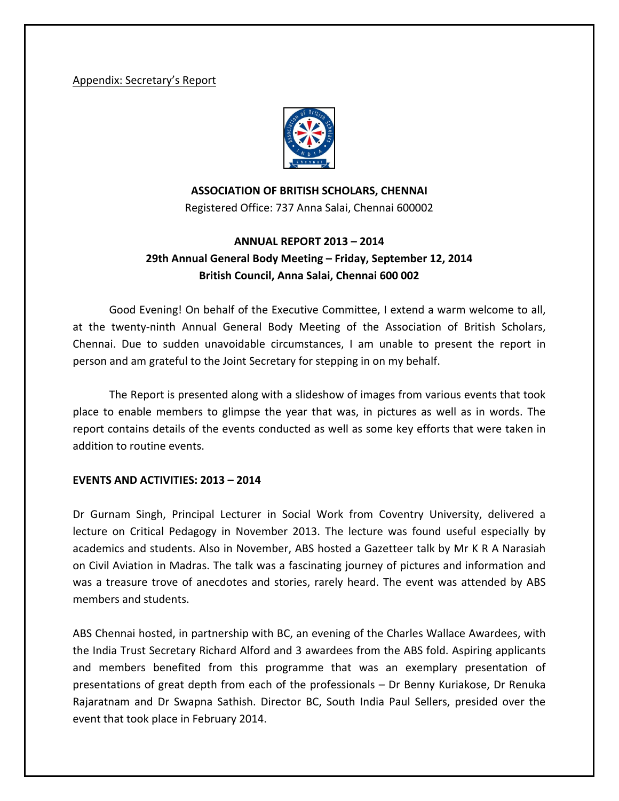## Appendix: Secretary's Report



**ASSOCIATION OF BRITISH SCHOLARS, CHENNAI**

Registered Office: 737 Anna Salai, Chennai 600002

# **ANNUAL REPORT 2013 – 2014 29th Annual General Body Meeting – Friday, September 12, 2014 British Council, Anna Salai, Chennai 600 002**

Good Evening! On behalf of the Executive Committee, I extend a warm welcome to all, at the twenty‐ninth Annual General Body Meeting of the Association of British Scholars, Chennai. Due to sudden unavoidable circumstances, I am unable to present the report in person and am grateful to the Joint Secretary for stepping in on my behalf.

The Report is presented along with a slideshow of images from various events that took place to enable members to glimpse the year that was, in pictures as well as in words. The report contains details of the events conducted as well as some key efforts that were taken in addition to routine events.

## **EVENTS AND ACTIVITIES: 2013 – 2014**

Dr Gurnam Singh, Principal Lecturer in Social Work from Coventry University, delivered a lecture on Critical Pedagogy in November 2013. The lecture was found useful especially by academics and students. Also in November, ABS hosted a Gazetteer talk by Mr K R A Narasiah on Civil Aviation in Madras. The talk was a fascinating journey of pictures and information and was a treasure trove of anecdotes and stories, rarely heard. The event was attended by ABS members and students.

ABS Chennai hosted, in partnership with BC, an evening of the Charles Wallace Awardees, with the India Trust Secretary Richard Alford and 3 awardees from the ABS fold. Aspiring applicants and members benefited from this programme that was an exemplary presentation of presentations of great depth from each of the professionals – Dr Benny Kuriakose, Dr Renuka Rajaratnam and Dr Swapna Sathish. Director BC, South India Paul Sellers, presided over the event that took place in February 2014.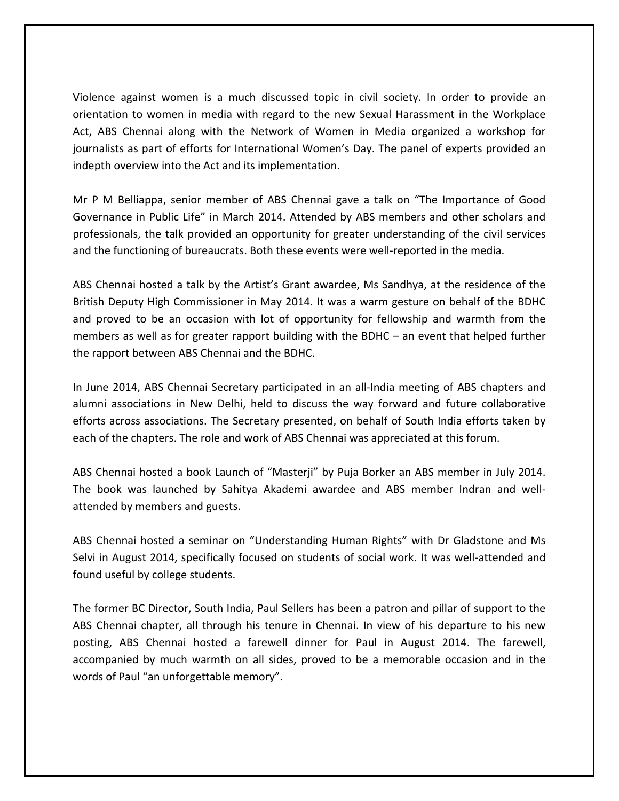Violence against women is a much discussed topic in civil society. In order to provide an orientation to women in media with regard to the new Sexual Harassment in the Workplace Act, ABS Chennai along with the Network of Women in Media organized a workshop for journalists as part of efforts for International Women's Day. The panel of experts provided an indepth overview into the Act and its implementation.

Mr P M Belliappa, senior member of ABS Chennai gave a talk on "The Importance of Good Governance in Public Life" in March 2014. Attended by ABS members and other scholars and professionals, the talk provided an opportunity for greater understanding of the civil services and the functioning of bureaucrats. Both these events were well-reported in the media.

ABS Chennai hosted a talk by the Artist's Grant awardee, Ms Sandhya, at the residence of the British Deputy High Commissioner in May 2014. It was a warm gesture on behalf of the BDHC and proved to be an occasion with lot of opportunity for fellowship and warmth from the members as well as for greater rapport building with the BDHC – an event that helped further the rapport between ABS Chennai and the BDHC.

In June 2014, ABS Chennai Secretary participated in an all-India meeting of ABS chapters and alumni associations in New Delhi, held to discuss the way forward and future collaborative efforts across associations. The Secretary presented, on behalf of South India efforts taken by each of the chapters. The role and work of ABS Chennai was appreciated at this forum.

ABS Chennai hosted a book Launch of "Masterji" by Puja Borker an ABS member in July 2014. The book was launched by Sahitya Akademi awardee and ABS member Indran and well‐ attended by members and guests.

ABS Chennai hosted a seminar on "Understanding Human Rights" with Dr Gladstone and Ms Selvi in August 2014, specifically focused on students of social work. It was well-attended and found useful by college students.

The former BC Director, South India, Paul Sellers has been a patron and pillar of support to the ABS Chennai chapter, all through his tenure in Chennai. In view of his departure to his new posting, ABS Chennai hosted a farewell dinner for Paul in August 2014. The farewell, accompanied by much warmth on all sides, proved to be a memorable occasion and in the words of Paul "an unforgettable memory".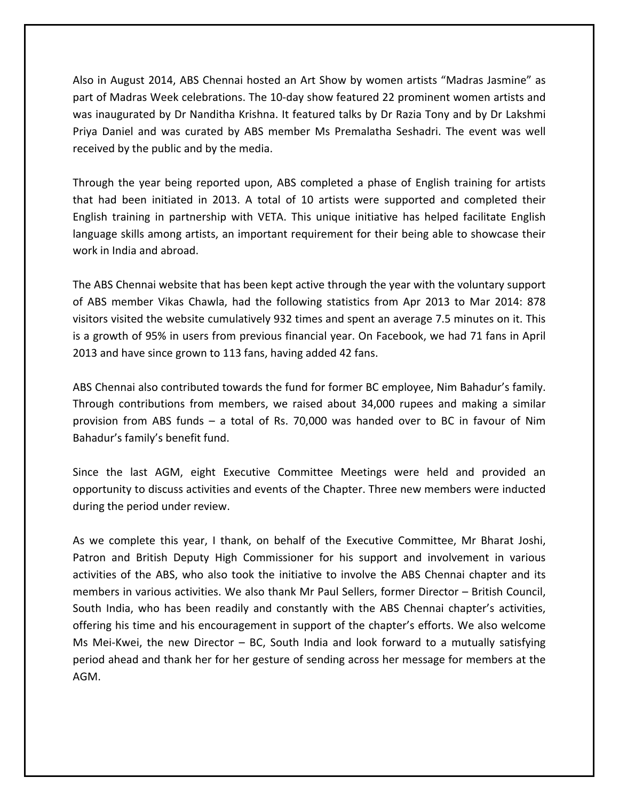Also in August 2014, ABS Chennai hosted an Art Show by women artists "Madras Jasmine" as part of Madras Week celebrations. The 10‐day show featured 22 prominent women artists and was inaugurated by Dr Nanditha Krishna. It featured talks by Dr Razia Tony and by Dr Lakshmi Priya Daniel and was curated by ABS member Ms Premalatha Seshadri. The event was well received by the public and by the media.

Through the year being reported upon, ABS completed a phase of English training for artists that had been initiated in 2013. A total of 10 artists were supported and completed their English training in partnership with VETA. This unique initiative has helped facilitate English language skills among artists, an important requirement for their being able to showcase their work in India and abroad.

The ABS Chennai website that has been kept active through the year with the voluntary support of ABS member Vikas Chawla, had the following statistics from Apr 2013 to Mar 2014: 878 visitors visited the website cumulatively 932 times and spent an average 7.5 minutes on it. This is a growth of 95% in users from previous financial year. On Facebook, we had 71 fans in April 2013 and have since grown to 113 fans, having added 42 fans.

ABS Chennai also contributed towards the fund for former BC employee, Nim Bahadur's family. Through contributions from members, we raised about 34,000 rupees and making a similar provision from ABS funds – a total of Rs. 70,000 was handed over to BC in favour of Nim Bahadur's family's benefit fund.

Since the last AGM, eight Executive Committee Meetings were held and provided an opportunity to discuss activities and events of the Chapter. Three new members were inducted during the period under review.

As we complete this year, I thank, on behalf of the Executive Committee, Mr Bharat Joshi, Patron and British Deputy High Commissioner for his support and involvement in various activities of the ABS, who also took the initiative to involve the ABS Chennai chapter and its members in various activities. We also thank Mr Paul Sellers, former Director – British Council, South India, who has been readily and constantly with the ABS Chennai chapter's activities, offering his time and his encouragement in support of the chapter's efforts. We also welcome Ms Mei-Kwei, the new Director  $-$  BC, South India and look forward to a mutually satisfying period ahead and thank her for her gesture of sending across her message for members at the AGM.